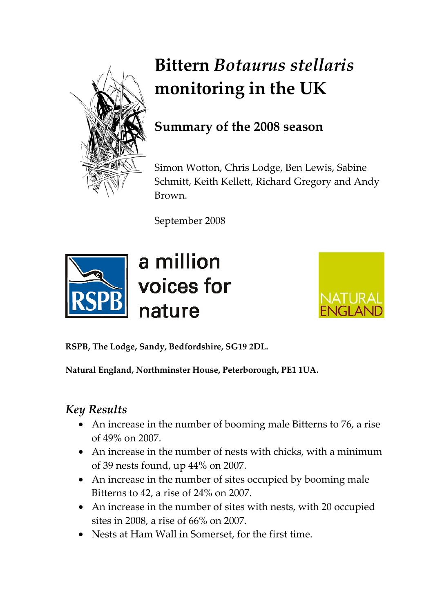

# **Bittern** *Botaurus stellaris* **monitoring in the UK**

## **Summary of the 2008 season**

Simon Wotton, Chris Lodge, Ben Lewis, Sabine Schmitt, Keith Kellett, Richard Gregory and Andy Brown.

September 2008



# a million voices for nature



**RSPB, The Lodge, Sandy, Bedfordshire, SG19 2DL.** 

**Natural England, Northminster House, Peterborough, PE1 1UA.** 

## *Key Results*

- An increase in the number of booming male Bitterns to 76, a rise of 49% on 2007.
- An increase in the number of nests with chicks, with a minimum of 39 nests found, up 44% on 2007.
- An increase in the number of sites occupied by booming male Bitterns to 42, a rise of 24% on 2007.
- An increase in the number of sites with nests, with 20 occupied sites in 2008, a rise of 66% on 2007.
- Nests at Ham Wall in Somerset, for the first time.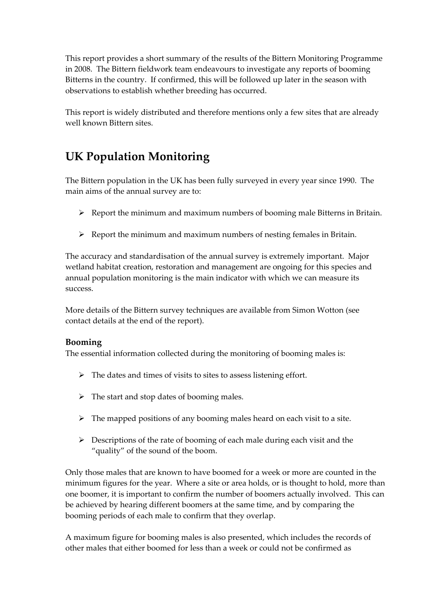This report provides a short summary of the results of the Bittern Monitoring Programme in 2008. The Bittern fieldwork team endeavours to investigate any reports of booming Bitterns in the country. If confirmed, this will be followed up later in the season with observations to establish whether breeding has occurred.

This report is widely distributed and therefore mentions only a few sites that are already well known Bittern sites.

## **UK Population Monitoring**

The Bittern population in the UK has been fully surveyed in every year since 1990. The main aims of the annual survey are to:

- $\triangleright$  Report the minimum and maximum numbers of booming male Bitterns in Britain.
- $\triangleright$  Report the minimum and maximum numbers of nesting females in Britain.

The accuracy and standardisation of the annual survey is extremely important. Major wetland habitat creation, restoration and management are ongoing for this species and annual population monitoring is the main indicator with which we can measure its success.

More details of the Bittern survey techniques are available from Simon Wotton (see contact details at the end of the report).

#### **Booming**

The essential information collected during the monitoring of booming males is:

- $\triangleright$  The dates and times of visits to sites to assess listening effort.
- $\triangleright$  The start and stop dates of booming males.
- $\triangleright$  The mapped positions of any booming males heard on each visit to a site.
- $\triangleright$  Descriptions of the rate of booming of each male during each visit and the "quality" of the sound of the boom.

Only those males that are known to have boomed for a week or more are counted in the minimum figures for the year. Where a site or area holds, or is thought to hold, more than one boomer, it is important to confirm the number of boomers actually involved.This can be achieved by hearing different boomers at the same time, and by comparing the booming periods of each male to confirm that they overlap.

A maximum figure for booming males is also presented, which includes the records of other males that either boomed for less than a week or could not be confirmed as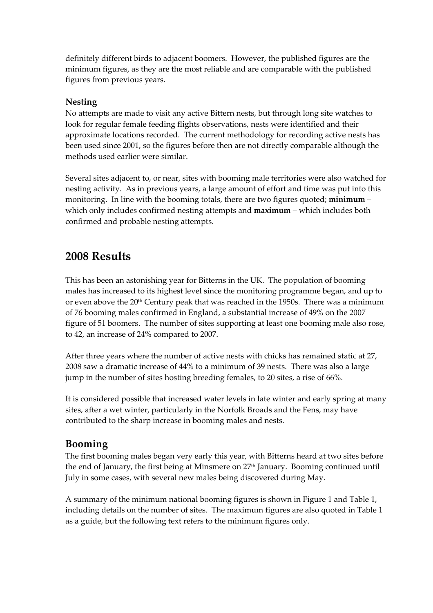definitely different birds to adjacent boomers. However, the published figures are the minimum figures, as they are the most reliable and are comparable with the published figures from previous years.

#### **Nesting**

No attempts are made to visit any active Bittern nests, but through long site watches to look for regular female feeding flights observations, nests were identified and their approximate locations recorded. The current methodology for recording active nests has been used since 2001, so the figures before then are not directly comparable although the methods used earlier were similar.

Several sites adjacent to, or near, sites with booming male territories were also watched for nesting activity. As in previous years, a large amount of effort and time was put into this monitoring. In line with the booming totals, there are two figures quoted; **minimum** – which only includes confirmed nesting attempts and **maximum** – which includes both confirmed and probable nesting attempts.

### **2008 Results**

This has been an astonishing year for Bitterns in the UK. The population of booming males has increased to its highest level since the monitoring programme began, and up to or even above the 20<sup>th</sup> Century peak that was reached in the 1950s. There was a minimum of 76 booming males confirmed in England, a substantial increase of 49% on the 2007 figure of 51 boomers. The number of sites supporting at least one booming male also rose, to 42, an increase of 24% compared to 2007.

After three years where the number of active nests with chicks has remained static at 27, 2008 saw a dramatic increase of 44% to a minimum of 39 nests. There was also a large jump in the number of sites hosting breeding females, to 20 sites, a rise of 66%.

It is considered possible that increased water levels in late winter and early spring at many sites, after a wet winter, particularly in the Norfolk Broads and the Fens, may have contributed to the sharp increase in booming males and nests.

#### **Booming**

The first booming males began very early this year, with Bitterns heard at two sites before the end of January, the first being at Minsmere on 27<sup>th</sup> January. Booming continued until July in some cases, with several new males being discovered during May.

A summary of the minimum national booming figures is shown in Figure 1 and Table 1, including details on the number of sites. The maximum figures are also quoted in Table 1 as a guide, but the following text refers to the minimum figures only.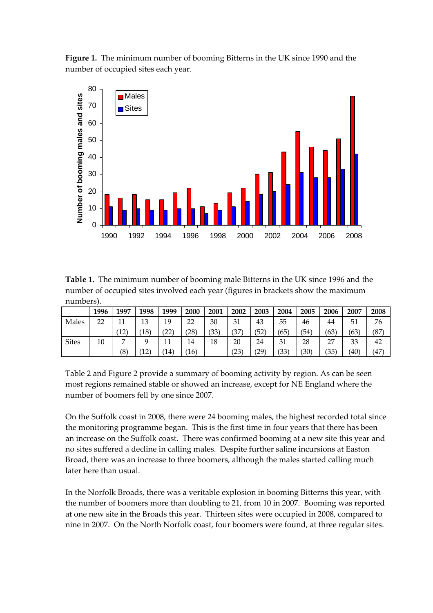**Figure 1.** The minimum number of booming Bitterns in the UK since 1990 and the number of occupied sites each year.



**Table 1.** The minimum number of booming male Bitterns in the UK since 1996 and the number of occupied sites involved each year (figures in brackets show the maximum numbers).

|              | 1996 | 1997 | 1998           | 1999           | 2000           | 2001 | 2002 | 2003 | 2004 | 2005 | 2006 | 2007 | 2008 |
|--------------|------|------|----------------|----------------|----------------|------|------|------|------|------|------|------|------|
| Males        | 22   | 11   | 13             | 19             | 22             | 30   | 31   | 43   | 55   | 46   | 44   | 51   | 76   |
|              |      | '12` | $^{\prime}18)$ | $^{\prime}22)$ | (28)           | (33) | (37) | (52) | (65) | ΄54  | (63) | (63) | (87  |
| <b>Sites</b> | 10   | −    |                | 11<br>⊥⊥       | 14             | 18   | 20   | 24   | 31   | 28   | 27   | 33   | 42   |
|              |      | (8)  | $^{\prime}12)$ | 14)            | $^{\prime}16)$ |      | (23) | (29) | (33) | 30)  | (35) | (40) | (47  |

Table 2 and Figure 2 provide a summary of booming activity by region. As can be seen most regions remained stable or showed an increase, except for NE England where the number of boomers fell by one since 2007.

On the Suffolk coast in 2008, there were 24 booming males, the highest recorded total since the monitoring programme began. This is the first time in four years that there has been an increase on the Suffolk coast. There was confirmed booming at a new site this year and no sites suffered a decline in calling males. Despite further saline incursions at Easton Broad, there was an increase to three boomers, although the males started calling much later here than usual.

In the Norfolk Broads, there was a veritable explosion in booming Bitterns this year, with the number of boomers more than doubling to 21, from 10 in 2007. Booming was reported at one new site in the Broads this year. Thirteen sites were occupied in 2008, compared to nine in 2007. On the North Norfolk coast, four boomers were found, at three regular sites.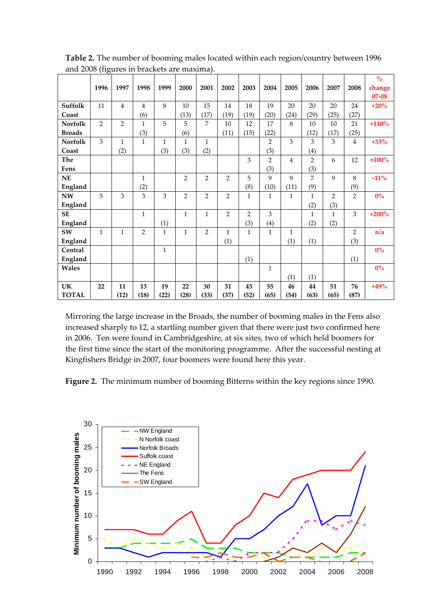| $\cdots$ = $\cdots$ $\cdots$ |                |                |                |              |                |                |                |                |                |                |                |                |                | $\frac{1}{\sqrt{6}}$ |
|------------------------------|----------------|----------------|----------------|--------------|----------------|----------------|----------------|----------------|----------------|----------------|----------------|----------------|----------------|----------------------|
|                              | 1996           | 1997           | 1998           | 1999         | 2000           | 2001           | 2002           | 2003           | 2004           | 2005           | 2006           | 2007           | 2008           | change               |
|                              |                |                |                |              |                |                |                |                |                |                |                |                |                | $07 - 08$            |
| Suffolk                      | 11             | $\overline{4}$ | $\overline{4}$ | 8            | 10             | 15             | 14             | 18             | 19             | 20             | 20             | 20             | 24             | $+20%$               |
| Coast                        |                |                | (6)            |              | (13)           | (17)           | (19)           | (19)           | (20)           | (24)           | (29)           | (25)           | (27)           |                      |
| <b>Norfolk</b>               | $\overline{2}$ | $\overline{2}$ | $\mathbf{1}$   | 5            | 5              | 7              | 10             | 12             | 17             | 8              | 10             | 10             | 21             | $+110%$              |
| <b>Broads</b>                |                |                | (3)            |              | (6)            |                | (11)           | (15)           | (22)           |                | (12)           | (17)           | (25)           |                      |
| <b>Norfolk</b>               | 3              | $\mathbf{1}$   | $\mathbf{1}$   | $\mathbf{1}$ | $\mathbf{1}$   | $\mathbf{1}$   |                |                | $\overline{2}$ | 3              | 3              | 3              | $\overline{4}$ | $+33%$               |
| Coast                        |                | (2)            |                | (3)          | (3)            | (2)            |                |                | (3)            |                | (4)            |                |                |                      |
| The                          |                |                |                |              |                |                |                | 3              | $\overline{2}$ | $\overline{4}$ | $\overline{2}$ | 6              | 12             | $+100%$              |
| Fens                         |                |                |                |              |                |                |                |                | (3)            |                | (3)            |                |                |                      |
| NE                           |                |                | $\mathbf{1}$   |              | $\overline{2}$ | $\overline{2}$ | $\overline{2}$ | 5              | 9              | $\mathbf{Q}$   | 7              | $\mathbf{q}$   | 8              | $-11%$               |
| England                      |                |                | (2)            |              |                |                |                | (8)            | (10)           | (11)           | (9)            |                | (9)            |                      |
| $\mathbf{N}\mathbf{W}$       | 5              | 3              | 3              | 3            | $\overline{2}$ | $\overline{2}$ | $\overline{2}$ | $\mathbf{1}$   | $\mathbf{1}$   | $\mathbf{1}$   | $\mathbf{1}$   | $\overline{2}$ | $\overline{2}$ | $0\%$                |
| England                      |                |                |                |              |                |                |                |                |                |                | (2)            | (3)            |                |                      |
| <b>SE</b>                    |                |                | $\mathbf{1}$   |              | $\mathbf{1}$   | $\mathbf{1}$   | $\overline{2}$ | $\overline{2}$ | 3              |                | $\mathbf{1}$   | $\mathbf{1}$   | 3              | $+200%$              |
| England                      |                |                |                | (1)          |                |                |                | (3)            | (4)            |                | (2)            | (2)            |                |                      |
| SW                           | $\mathbf{1}$   | $\mathbf{1}$   | $\overline{2}$ | $\mathbf{1}$ | $\mathbf{1}$   | $\overline{2}$ | $\mathbf{1}$   | $\mathbf{1}$   | $\mathbf{1}$   | $\mathbf{1}$   |                |                | $\overline{2}$ | n/a                  |
| England                      |                |                |                |              |                |                | (1)            |                |                | (1)            | (1)            |                | (3)            |                      |
| Central                      |                |                |                | $\mathbf{1}$ |                |                |                |                |                |                |                |                |                | $0\%$                |
| England                      |                |                |                |              |                |                |                | (1)            |                |                |                |                | (1)            |                      |
| Wales                        |                |                |                |              |                |                |                |                | $\mathbf{1}$   |                |                |                |                | $0\%$                |
|                              |                |                |                |              |                |                |                |                |                | (1)            | (1)            |                |                |                      |
| UK                           | 22             | 11             | 13             | 19           | 22             | 30             | 31             | 43             | 55             | 46             | 44             | 51             | 76             | $+49%$               |
| <b>TOTAL</b>                 |                | (12)           | (18)           | (22)         | (28)           | (33)           | (37)           | (52)           | (65)           | (54)           | (63)           | (65)           | (87)           |                      |

**Table 2.** The number of booming males located within each region/country between 1996 and 2008 (figures in brackets are maxima).

Mirroring the large increase in the Broads, the number of booming males in the Fens also increased sharply to 12, a startling number given that there were just two confirmed here in 2006. Ten were found in Cambridgeshire, at six sites, two of which held boomers for the first time since the start of the monitoring programme. After the successful nesting at Kingfishers Bridge in 2007, four boomers were found here this year.

**Figure 2.** The minimum number of booming Bitterns within the key regions since 1990.

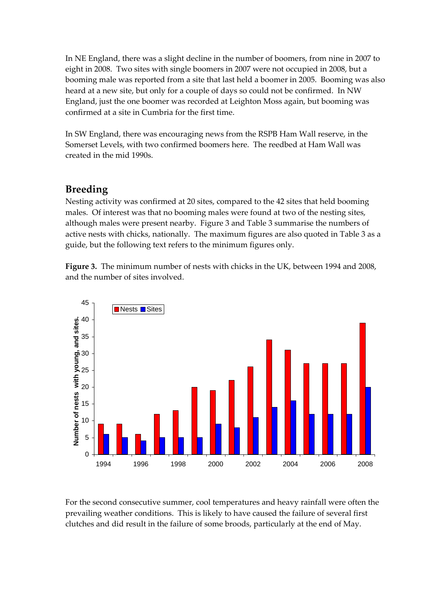In NE England, there was a slight decline in the number of boomers, from nine in 2007 to eight in 2008. Two sites with single boomers in 2007 were not occupied in 2008, but a booming male was reported from a site that last held a boomer in 2005. Booming was also heard at a new site, but only for a couple of days so could not be confirmed. In NW England, just the one boomer was recorded at Leighton Moss again, but booming was confirmed at a site in Cumbria for the first time.

In SW England, there was encouraging news from the RSPB Ham Wall reserve, in the Somerset Levels, with two confirmed boomers here. The reedbed at Ham Wall was created in the mid 1990s.

### **Breeding**

Nesting activity was confirmed at 20 sites, compared to the 42 sites that held booming males. Of interest was that no booming males were found at two of the nesting sites, although males were present nearby. Figure 3 and Table 3 summarise the numbers of active nests with chicks, nationally. The maximum figures are also quoted in Table 3 as a guide, but the following text refers to the minimum figures only.

**Figure 3.** The minimum number of nests with chicks in the UK, between 1994 and 2008, and the number of sites involved.



For the second consecutive summer, cool temperatures and heavy rainfall were often the prevailing weather conditions. This is likely to have caused the failure of several first clutches and did result in the failure of some broods, particularly at the end of May.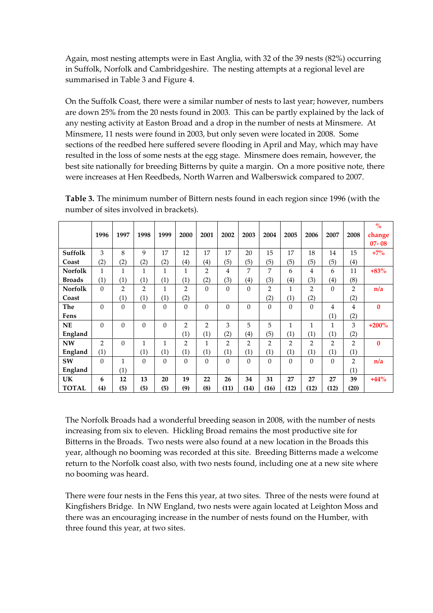Again, most nesting attempts were in East Anglia, with 32 of the 39 nests (82%) occurring in Suffolk, Norfolk and Cambridgeshire. The nesting attempts at a regional level are summarised in Table 3 and Figure 4.

On the Suffolk Coast, there were a similar number of nests to last year; however, numbers are down 25% from the 20 nests found in 2003. This can be partly explained by the lack of any nesting activity at Easton Broad and a drop in the number of nests at Minsmere. At Minsmere, 11 nests were found in 2003, but only seven were located in 2008. Some sections of the reedbed here suffered severe flooding in April and May, which may have resulted in the loss of some nests at the egg stage. Minsmere does remain, however, the best site nationally for breeding Bitterns by quite a margin. On a more positive note, there were increases at Hen Reedbeds, North Warren and Walberswick compared to 2007.

|                |                |                |                   |              |                |                   |                |                |                |                |                |                |                | $\mathbf{O}_{\mathbf{O}}^{\prime}$ |
|----------------|----------------|----------------|-------------------|--------------|----------------|-------------------|----------------|----------------|----------------|----------------|----------------|----------------|----------------|------------------------------------|
|                | 1996           | 1997           | 1998              | 1999         | 2000           | 2001              | 2002           | 2003           | 2004           | 2005           | 2006           | 2007           | 2008           | change                             |
|                |                |                |                   |              |                |                   |                |                |                |                |                |                |                | $07 - 08$                          |
| Suffolk        | 3              | 8              | 9                 | 17           | 12             | 17                | 17             | 20             | 15             | 17             | 18             | 14             | 15             | $+7\%$                             |
| Coast          | (2)            | (2)            | (2)               | (2)          | (4)            | $\left( 4\right)$ | (5)            | (5)            | (5)            | (5)            | (5)            | (5)            | (4)            |                                    |
| <b>Norfolk</b> | 1              | $\mathbf{1}$   | $\mathbf{1}$      | $\mathbf{1}$ | $\mathbf{1}$   | $\overline{2}$    | 4              | 7              | 7              | 6              | $\overline{4}$ | 6              | 11             | $+83%$                             |
| <b>Broads</b>  | (1)            | (1)            | $\left( 1\right)$ | (1)          | (1)            | (2)               | (3)            | (4)            | (3)            | (4)            | (3)            | (4)            | (8)            |                                    |
| <b>Norfolk</b> | $\Omega$       | $\overline{2}$ | $\overline{2}$    | 1            | $\overline{2}$ | $\overline{0}$    | $\Omega$       | $\theta$       | 2              | $\mathbf{1}$   | $\overline{2}$ | $\theta$       | $\overline{2}$ | n/a                                |
| Coast          |                | (1)            | (1)               | (1)          | (2)            |                   |                |                | (2)            | (1)            | (2)            |                | (2)            |                                    |
| The            | $\theta$       | $\theta$       | $\theta$          | $\Omega$     | $\theta$       | $\Omega$          | $\Omega$       | $\theta$       | $\theta$       | $\Omega$       | $\Omega$       | 4              | 4              | $\bf{0}$                           |
| Fens           |                |                |                   |              |                |                   |                |                |                |                |                | (1)            | (2)            |                                    |
| <b>NE</b>      | $\theta$       | $\theta$       | $\theta$          | $\theta$     | $\overline{2}$ | $\overline{2}$    | 3              | 5              | 5              | 1              | $\mathbf{1}$   | 1              | 3              | $+200%$                            |
| England        |                |                |                   |              | (1)            | (1)               | (2)            | (4)            | (5)            | (1)            | (1)            | (1)            | (2)            |                                    |
| <b>NW</b>      | $\overline{2}$ | $\theta$       | $\mathbf{1}$      | 1            | $\overline{2}$ | 1                 | $\overline{2}$ | $\overline{2}$ | $\overline{2}$ | $\overline{2}$ | $\overline{2}$ | $\overline{2}$ | $\overline{2}$ | $\bf{0}$                           |
| England        | (1)            |                | (1)               | (1)          | (1)            | (1)               | (1)            | (1)            | (1)            | (1)            | (1)            | (1)            | (1)            |                                    |
| SW             | $\theta$       | $\mathbf{1}$   | $\Omega$          | $\theta$     | $\mathbf{0}$   | $\Omega$          | $\Omega$       | $\mathbf{0}$   | $\theta$       | $\Omega$       | $\theta$       | $\Omega$       | $\overline{2}$ | n/a                                |
| England        |                | (1)            |                   |              |                |                   |                |                |                |                |                |                | (1)            |                                    |
| <b>UK</b>      | 6              | 12             | 13                | 20           | 19             | 22                | 26             | 34             | 31             | 27             | 27             | 27             | 39             | $+44%$                             |
| <b>TOTAL</b>   | (4)            | (5)            | (5)               | (5)          | (9)            | (8)               | (11)           | (14)           | (16)           | (12)           | (12)           | (12)           | (20)           |                                    |

**Table 3.** The minimum number of Bittern nests found in each region since 1996 (with the number of sites involved in brackets).

The Norfolk Broads had a wonderful breeding season in 2008, with the number of nests increasing from six to eleven. Hickling Broad remains the most productive site for Bitterns in the Broads. Two nests were also found at a new location in the Broads this year, although no booming was recorded at this site. Breeding Bitterns made a welcome return to the Norfolk coast also, with two nests found, including one at a new site where no booming was heard.

There were four nests in the Fens this year, at two sites. Three of the nests were found at Kingfishers Bridge. In NW England, two nests were again located at Leighton Moss and there was an encouraging increase in the number of nests found on the Humber, with three found this year, at two sites.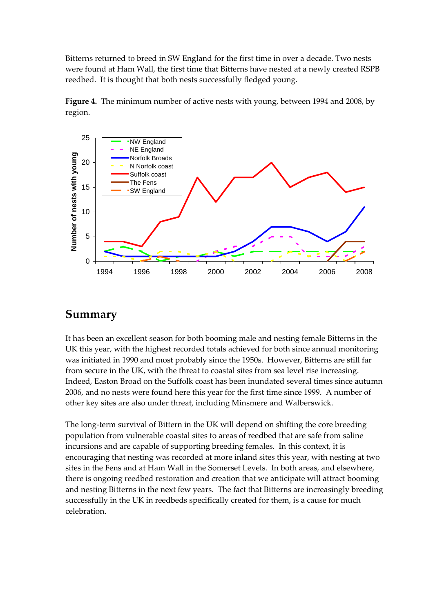Bitterns returned to breed in SW England for the first time in over a decade. Two nests were found at Ham Wall, the first time that Bitterns have nested at a newly created RSPB reedbed. It is thought that both nests successfully fledged young.





#### **Summary**

It has been an excellent season for both booming male and nesting female Bitterns in the UK this year, with the highest recorded totals achieved for both since annual monitoring was initiated in 1990 and most probably since the 1950s. However, Bitterns are still far from secure in the UK, with the threat to coastal sites from sea level rise increasing. Indeed, Easton Broad on the Suffolk coast has been inundated several times since autumn 2006, and no nests were found here this year for the first time since 1999. A number of other key sites are also under threat, including Minsmere and Walberswick.

The long-term survival of Bittern in the UK will depend on shifting the core breeding population from vulnerable coastal sites to areas of reedbed that are safe from saline incursions and are capable of supporting breeding females. In this context, it is encouraging that nesting was recorded at more inland sites this year, with nesting at two sites in the Fens and at Ham Wall in the Somerset Levels. In both areas, and elsewhere, there is ongoing reedbed restoration and creation that we anticipate will attract booming and nesting Bitterns in the next few years. The fact that Bitterns are increasingly breeding successfully in the UK in reedbeds specifically created for them, is a cause for much celebration.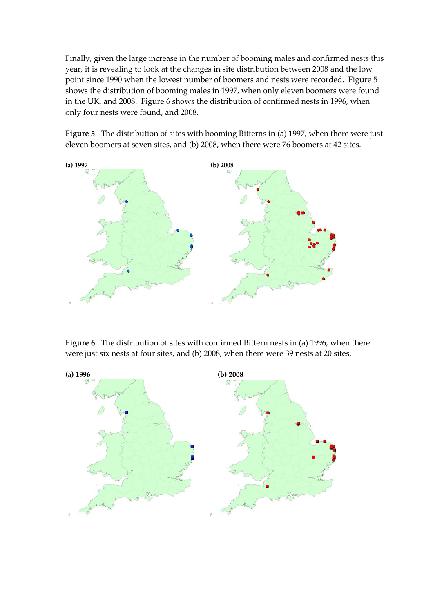Finally, given the large increase in the number of booming males and confirmed nests this year, it is revealing to look at the changes in site distribution between 2008 and the low point since 1990 when the lowest number of boomers and nests were recorded. Figure 5 shows the distribution of booming males in 1997, when only eleven boomers were found in the UK, and 2008. Figure 6 shows the distribution of confirmed nests in 1996, when only four nests were found, and 2008.

**Figure 5**. The distribution of sites with booming Bitterns in (a) 1997, when there were just eleven boomers at seven sites, and (b) 2008, when there were 76 boomers at 42 sites.



**Figure 6**. The distribution of sites with confirmed Bittern nests in (a) 1996, when there were just six nests at four sites, and (b) 2008, when there were 39 nests at 20 sites.